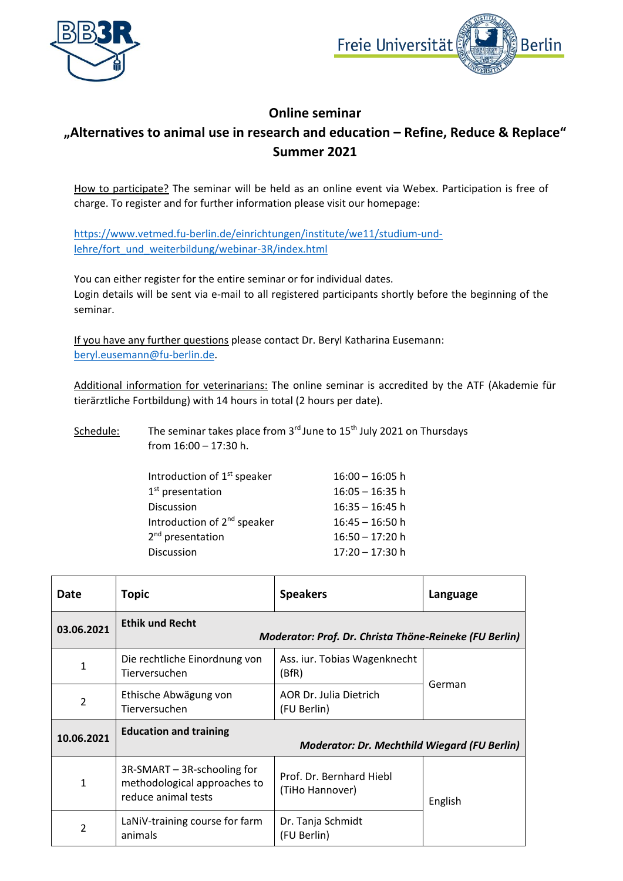



## **Online seminar**

## **"Alternatives to animal use in research and education – Refine, Reduce & Replace" Summer 2021**

How to participate? The seminar will be held as an online event via Webex. Participation is free of charge. To register and for further information please visit our homepage:

[https://www.vetmed.fu-berlin.de/einrichtungen/institute/we11/studium-und](https://www.vetmed.fu-berlin.de/einrichtungen/institute/we11/studium-und-lehre/fort_und_weiterbildung/webinar-3R/index.html)[lehre/fort\\_und\\_weiterbildung/webinar-3R/index.html](https://www.vetmed.fu-berlin.de/einrichtungen/institute/we11/studium-und-lehre/fort_und_weiterbildung/webinar-3R/index.html)

You can either register for the entire seminar or for individual dates. Login details will be sent via e-mail to all registered participants shortly before the beginning of the seminar.

If you have any further questions please contact Dr. Beryl Katharina Eusemann: [beryl.eusemann@fu-berlin.de.](mailto:beryl.eusemann@fu-berlin.de)

Additional information for veterinarians: The online seminar is accredited by the ATF (Akademie für tierärztliche Fortbildung) with 14 hours in total (2 hours per date).

| Schedule: | The seminar takes place from $3rd$ June to $15th$ July 2021 on Thursdays |
|-----------|--------------------------------------------------------------------------|
|           | from $16:00 - 17:30$ h.                                                  |

| Introduction of 1 <sup>st</sup> speaker | $16:00 - 16:05$ h |
|-----------------------------------------|-------------------|
| $1st$ presentation                      | $16:05 - 16:35$ h |
| Discussion                              | $16:35 - 16:45$ h |
| Introduction of 2 <sup>nd</sup> speaker | $16:45 - 16:50 h$ |
| 2 <sup>nd</sup> presentation            | $16:50 - 17:20$ h |
| Discussion                              | $17:20 - 17:30$ h |

| Date           | <b>Topic</b>                                                                         | <b>Speakers</b>                             | Language |  |
|----------------|--------------------------------------------------------------------------------------|---------------------------------------------|----------|--|
| 03.06.2021     | <b>Ethik und Recht</b><br>Moderator: Prof. Dr. Christa Thöne-Reineke (FU Berlin)     |                                             |          |  |
| 1              | Die rechtliche Einordnung von<br>Tierversuchen                                       | Ass. iur. Tobias Wagenknecht<br>(BfR)       |          |  |
| $\overline{2}$ | Ethische Abwägung von<br>Tierversuchen                                               | AOR Dr. Julia Dietrich<br>(FU Berlin)       | German   |  |
| 10.06.2021     | <b>Education and training</b><br><b>Moderator: Dr. Mechthild Wiegard (FU Berlin)</b> |                                             |          |  |
| $\mathbf{1}$   | 3R-SMART - 3R-schooling for<br>methodological approaches to<br>reduce animal tests   | Prof. Dr. Bernhard Hiebl<br>(TiHo Hannover) | English  |  |
| $\mathfrak{p}$ | LaNiV-training course for farm<br>animals                                            | Dr. Tanja Schmidt<br>(FU Berlin)            |          |  |